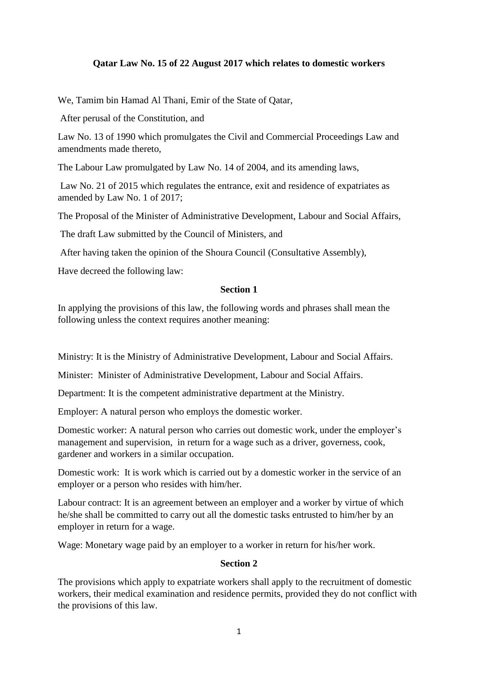# **Qatar Law No. 15 of 22 August 2017 which relates to domestic workers**

We, Tamim bin Hamad Al Thani, Emir of the State of Qatar,

After perusal of the Constitution, and

Law No. 13 of 1990 which promulgates the Civil and Commercial Proceedings Law and amendments made thereto,

The Labour Law promulgated by Law No. 14 of 2004, and its amending laws,

Law No. 21 of 2015 which regulates the entrance, exit and residence of expatriates as amended by Law No. 1 of 2017;

The Proposal of the Minister of Administrative Development, Labour and Social Affairs,

The draft Law submitted by the Council of Ministers, and

After having taken the opinion of the Shoura Council (Consultative Assembly),

Have decreed the following law:

### **Section 1**

In applying the provisions of this law, the following words and phrases shall mean the following unless the context requires another meaning:

Ministry: It is the Ministry of Administrative Development, Labour and Social Affairs.

Minister: Minister of Administrative Development, Labour and Social Affairs.

Department: It is the competent administrative department at the Ministry.

Employer: A natural person who employs the domestic worker.

Domestic worker: A natural person who carries out domestic work, under the employer's management and supervision, in return for a wage such as a driver, governess, cook, gardener and workers in a similar occupation.

Domestic work: It is work which is carried out by a domestic worker in the service of an employer or a person who resides with him/her.

Labour contract: It is an agreement between an employer and a worker by virtue of which he/she shall be committed to carry out all the domestic tasks entrusted to him/her by an employer in return for a wage.

Wage: Monetary wage paid by an employer to a worker in return for his/her work.

#### **Section 2**

The provisions which apply to expatriate workers shall apply to the recruitment of domestic workers, their medical examination and residence permits, provided they do not conflict with the provisions of this law.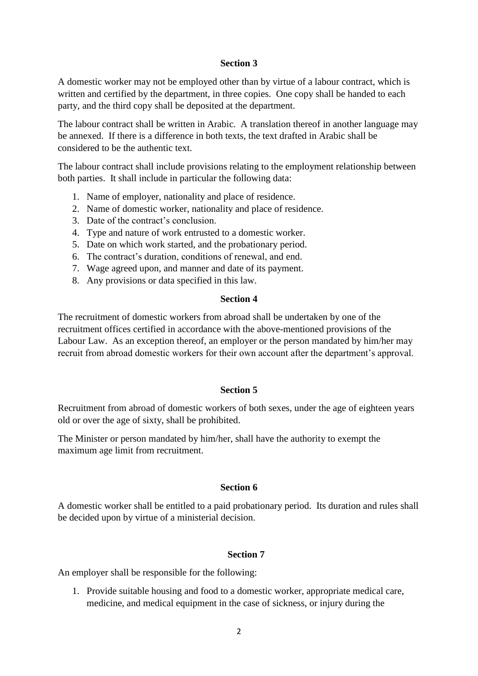### **Section 3**

A domestic worker may not be employed other than by virtue of a labour contract, which is written and certified by the department, in three copies. One copy shall be handed to each party, and the third copy shall be deposited at the department.

The labour contract shall be written in Arabic. A translation thereof in another language may be annexed. If there is a difference in both texts, the text drafted in Arabic shall be considered to be the authentic text.

The labour contract shall include provisions relating to the employment relationship between both parties. It shall include in particular the following data:

- 1. Name of employer, nationality and place of residence.
- 2. Name of domestic worker, nationality and place of residence.
- 3. Date of the contract's conclusion.
- 4. Type and nature of work entrusted to a domestic worker.
- 5. Date on which work started, and the probationary period.
- 6. The contract's duration, conditions of renewal, and end.
- 7. Wage agreed upon, and manner and date of its payment.
- 8. Any provisions or data specified in this law.

#### **Section 4**

The recruitment of domestic workers from abroad shall be undertaken by one of the recruitment offices certified in accordance with the above-mentioned provisions of the Labour Law. As an exception thereof, an employer or the person mandated by him/her may recruit from abroad domestic workers for their own account after the department's approval.

### **Section 5**

Recruitment from abroad of domestic workers of both sexes, under the age of eighteen years old or over the age of sixty, shall be prohibited.

The Minister or person mandated by him/her, shall have the authority to exempt the maximum age limit from recruitment.

### **Section 6**

A domestic worker shall be entitled to a paid probationary period. Its duration and rules shall be decided upon by virtue of a ministerial decision.

### **Section 7**

An employer shall be responsible for the following:

1. Provide suitable housing and food to a domestic worker, appropriate medical care, medicine, and medical equipment in the case of sickness, or injury during the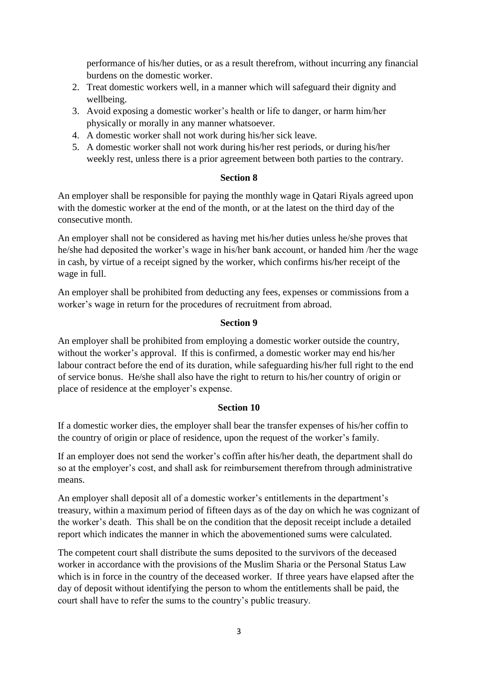performance of his/her duties, or as a result therefrom, without incurring any financial burdens on the domestic worker.

- 2. Treat domestic workers well, in a manner which will safeguard their dignity and wellbeing.
- 3. Avoid exposing a domestic worker's health or life to danger, or harm him/her physically or morally in any manner whatsoever.
- 4. A domestic worker shall not work during his/her sick leave.
- 5. A domestic worker shall not work during his/her rest periods, or during his/her weekly rest, unless there is a prior agreement between both parties to the contrary.

# **Section 8**

An employer shall be responsible for paying the monthly wage in Qatari Riyals agreed upon with the domestic worker at the end of the month, or at the latest on the third day of the consecutive month.

An employer shall not be considered as having met his/her duties unless he/she proves that he/she had deposited the worker's wage in his/her bank account, or handed him /her the wage in cash, by virtue of a receipt signed by the worker, which confirms his/her receipt of the wage in full.

An employer shall be prohibited from deducting any fees, expenses or commissions from a worker's wage in return for the procedures of recruitment from abroad.

# **Section 9**

An employer shall be prohibited from employing a domestic worker outside the country, without the worker's approval. If this is confirmed, a domestic worker may end his/her labour contract before the end of its duration, while safeguarding his/her full right to the end of service bonus. He/she shall also have the right to return to his/her country of origin or place of residence at the employer's expense.

# **Section 10**

If a domestic worker dies, the employer shall bear the transfer expenses of his/her coffin to the country of origin or place of residence, upon the request of the worker's family.

If an employer does not send the worker's coffin after his/her death, the department shall do so at the employer's cost, and shall ask for reimbursement therefrom through administrative means.

An employer shall deposit all of a domestic worker's entitlements in the department's treasury, within a maximum period of fifteen days as of the day on which he was cognizant of the worker's death. This shall be on the condition that the deposit receipt include a detailed report which indicates the manner in which the abovementioned sums were calculated.

The competent court shall distribute the sums deposited to the survivors of the deceased worker in accordance with the provisions of the Muslim Sharia or the Personal Status Law which is in force in the country of the deceased worker. If three years have elapsed after the day of deposit without identifying the person to whom the entitlements shall be paid, the court shall have to refer the sums to the country's public treasury.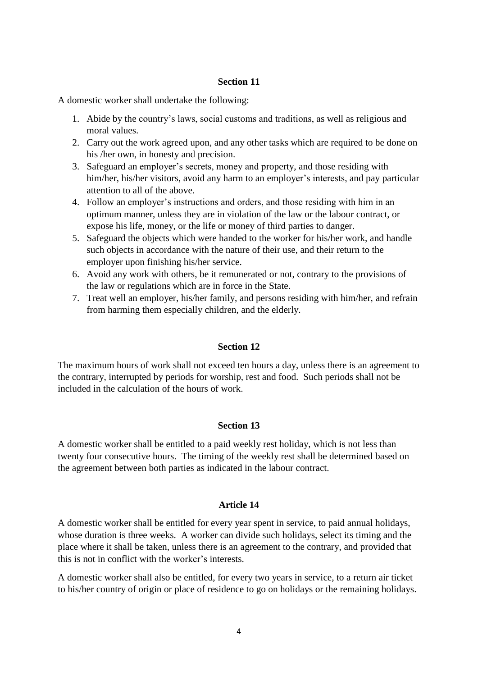### **Section 11**

A domestic worker shall undertake the following:

- 1. Abide by the country's laws, social customs and traditions, as well as religious and moral values.
- 2. Carry out the work agreed upon, and any other tasks which are required to be done on his /her own, in honesty and precision.
- 3. Safeguard an employer's secrets, money and property, and those residing with him/her, his/her visitors, avoid any harm to an employer's interests, and pay particular attention to all of the above.
- 4. Follow an employer's instructions and orders, and those residing with him in an optimum manner, unless they are in violation of the law or the labour contract, or expose his life, money, or the life or money of third parties to danger.
- 5. Safeguard the objects which were handed to the worker for his/her work, and handle such objects in accordance with the nature of their use, and their return to the employer upon finishing his/her service.
- 6. Avoid any work with others, be it remunerated or not, contrary to the provisions of the law or regulations which are in force in the State.
- 7. Treat well an employer, his/her family, and persons residing with him/her, and refrain from harming them especially children, and the elderly.

### **Section 12**

The maximum hours of work shall not exceed ten hours a day, unless there is an agreement to the contrary, interrupted by periods for worship, rest and food. Such periods shall not be included in the calculation of the hours of work.

### **Section 13**

A domestic worker shall be entitled to a paid weekly rest holiday, which is not less than twenty four consecutive hours. The timing of the weekly rest shall be determined based on the agreement between both parties as indicated in the labour contract.

### **Article 14**

A domestic worker shall be entitled for every year spent in service, to paid annual holidays, whose duration is three weeks. A worker can divide such holidays, select its timing and the place where it shall be taken, unless there is an agreement to the contrary, and provided that this is not in conflict with the worker's interests.

A domestic worker shall also be entitled, for every two years in service, to a return air ticket to his/her country of origin or place of residence to go on holidays or the remaining holidays.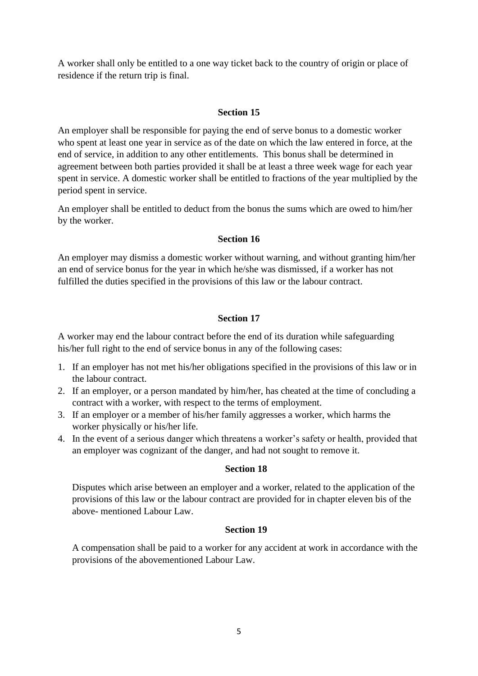A worker shall only be entitled to a one way ticket back to the country of origin or place of residence if the return trip is final.

## **Section 15**

An employer shall be responsible for paying the end of serve bonus to a domestic worker who spent at least one year in service as of the date on which the law entered in force, at the end of service, in addition to any other entitlements. This bonus shall be determined in agreement between both parties provided it shall be at least a three week wage for each year spent in service. A domestic worker shall be entitled to fractions of the year multiplied by the period spent in service.

An employer shall be entitled to deduct from the bonus the sums which are owed to him/her by the worker.

## **Section 16**

An employer may dismiss a domestic worker without warning, and without granting him/her an end of service bonus for the year in which he/she was dismissed, if a worker has not fulfilled the duties specified in the provisions of this law or the labour contract.

### **Section 17**

A worker may end the labour contract before the end of its duration while safeguarding his/her full right to the end of service bonus in any of the following cases:

- 1. If an employer has not met his/her obligations specified in the provisions of this law or in the labour contract.
- 2. If an employer, or a person mandated by him/her, has cheated at the time of concluding a contract with a worker, with respect to the terms of employment.
- 3. If an employer or a member of his/her family aggresses a worker, which harms the worker physically or his/her life.
- 4. In the event of a serious danger which threatens a worker's safety or health, provided that an employer was cognizant of the danger, and had not sought to remove it.

### **Section 18**

Disputes which arise between an employer and a worker, related to the application of the provisions of this law or the labour contract are provided for in chapter eleven bis of the above- mentioned Labour Law.

### **Section 19**

A compensation shall be paid to a worker for any accident at work in accordance with the provisions of the abovementioned Labour Law.